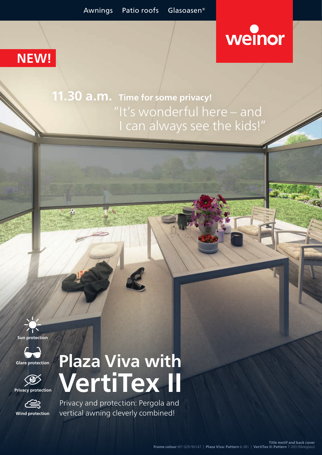#### **NEW!**

# weinor

**11.30 a.m. Time for some privacy!** "It's wonderful here – and can always see the kids!"



**Glare protection**







**Wind protection**

## **Plaza Viva with VertiTex II**

Privacy and protection: Pergola and vertical awning cleverly combined!